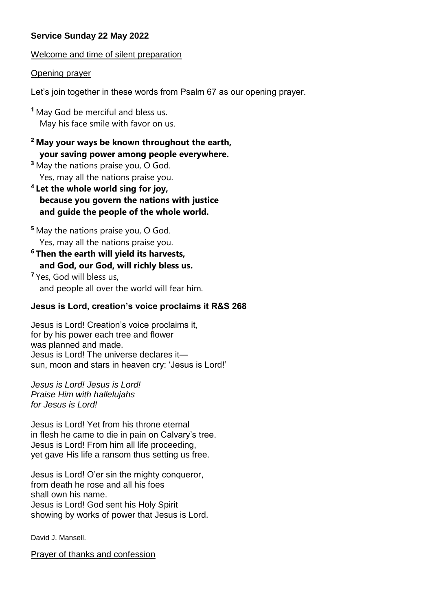# **Service Sunday 22 May 2022**

Welcome and time of silent preparation

### Opening prayer

Let's join together in these words from Psalm 67 as our opening prayer.

**<sup>1</sup>** May God be merciful and bless us. May his face smile with favor on us.

# **<sup>2</sup> May your ways be known throughout the earth, your saving power among people everywhere.**

**<sup>3</sup>** May the nations praise you, O God. Yes, may all the nations praise you.

**<sup>4</sup> Let the whole world sing for joy, because you govern the nations with justice and guide the people of the whole world.**

**<sup>5</sup>** May the nations praise you, O God. Yes, may all the nations praise you.

**<sup>6</sup> Then the earth will yield its harvests, and God, our God, will richly bless us.**

**<sup>7</sup>** Yes, God will bless us, and people all over the world will fear him.

# **Jesus is Lord, creation's voice proclaims it R&S 268**

Jesus is Lord! Creation's voice proclaims it, for by his power each tree and flower was planned and made. Jesus is Lord! The universe declares it sun, moon and stars in heaven cry: 'Jesus is Lord!'

*Jesus is Lord! Jesus is Lord! Praise Him with hallelujahs for Jesus is Lord!*

Jesus is Lord! Yet from his throne eternal in flesh he came to die in pain on Calvary's tree. Jesus is Lord! From him all life proceeding, yet gave His life a ransom thus setting us free.

Jesus is Lord! O'er sin the mighty conqueror, from death he rose and all his foes shall own his name. Jesus is Lord! God sent his Holy Spirit showing by works of power that Jesus is Lord.

David J. Mansell.

Prayer of thanks and confession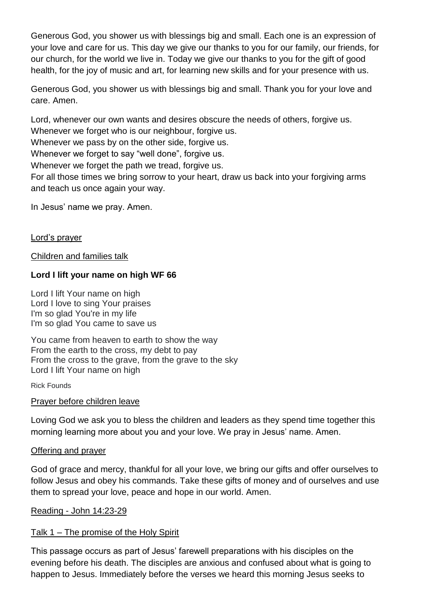Generous God, you shower us with blessings big and small. Each one is an expression of your love and care for us. This day we give our thanks to you for our family, our friends, for our church, for the world we live in. Today we give our thanks to you for the gift of good health, for the joy of music and art, for learning new skills and for your presence with us.

Generous God, you shower us with blessings big and small. Thank you for your love and care. Amen.

Lord, whenever our own wants and desires obscure the needs of others, forgive us.

Whenever we forget who is our neighbour, forgive us.

Whenever we pass by on the other side, forgive us.

Whenever we forget to say "well done", forgive us.

Whenever we forget the path we tread, forgive us.

For all those times we bring sorrow to your heart, draw us back into your forgiving arms and teach us once again your way.

In Jesus' name we pray. Amen.

Lord's prayer

Children and families talk

## **Lord I lift your name on high WF 66**

Lord I lift Your name on high Lord I love to sing Your praises I'm so glad You're in my life I'm so glad You came to save us

You came from heaven to earth to show the way From the earth to the cross, my debt to pay From the cross to the grave, from the grave to the sky Lord I lift Your name on high

Rick Founds

#### Prayer before children leave

Loving God we ask you to bless the children and leaders as they spend time together this morning learning more about you and your love. We pray in Jesus' name. Amen.

#### Offering and prayer

God of grace and mercy, thankful for all your love, we bring our gifts and offer ourselves to follow Jesus and obey his commands. Take these gifts of money and of ourselves and use them to spread your love, peace and hope in our world. Amen.

#### Reading - John 14:23-29

#### Talk 1 – The promise of the Holy Spirit

This passage occurs as part of Jesus' farewell preparations with his disciples on the evening before his death. The disciples are anxious and confused about what is going to happen to Jesus. Immediately before the verses we heard this morning Jesus seeks to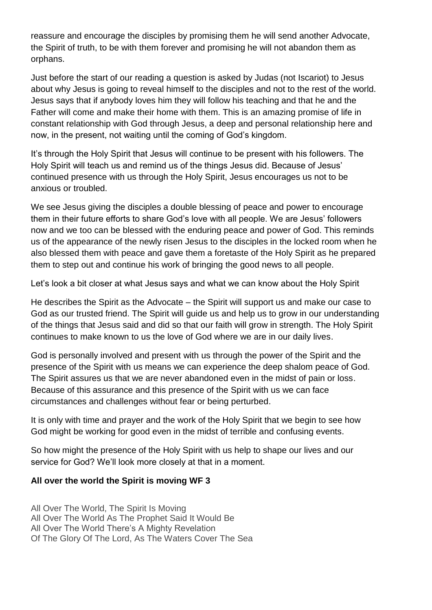reassure and encourage the disciples by promising them he will send another Advocate, the Spirit of truth, to be with them forever and promising he will not abandon them as orphans.

Just before the start of our reading a question is asked by Judas (not Iscariot) to Jesus about why Jesus is going to reveal himself to the disciples and not to the rest of the world. Jesus says that if anybody loves him they will follow his teaching and that he and the Father will come and make their home with them. This is an amazing promise of life in constant relationship with God through Jesus, a deep and personal relationship here and now, in the present, not waiting until the coming of God's kingdom.

It's through the Holy Spirit that Jesus will continue to be present with his followers. The Holy Spirit will teach us and remind us of the things Jesus did. Because of Jesus' continued presence with us through the Holy Spirit, Jesus encourages us not to be anxious or troubled.

We see Jesus giving the disciples a double blessing of peace and power to encourage them in their future efforts to share God's love with all people. We are Jesus' followers now and we too can be blessed with the enduring peace and power of God. This reminds us of the appearance of the newly risen Jesus to the disciples in the locked room when he also blessed them with peace and gave them a foretaste of the Holy Spirit as he prepared them to step out and continue his work of bringing the good news to all people.

Let's look a bit closer at what Jesus says and what we can know about the Holy Spirit

He describes the Spirit as the Advocate – the Spirit will support us and make our case to God as our trusted friend. The Spirit will guide us and help us to grow in our understanding of the things that Jesus said and did so that our faith will grow in strength. The Holy Spirit continues to make known to us the love of God where we are in our daily lives.

God is personally involved and present with us through the power of the Spirit and the presence of the Spirit with us means we can experience the deep shalom peace of God. The Spirit assures us that we are never abandoned even in the midst of pain or loss. Because of this assurance and this presence of the Spirit with us we can face circumstances and challenges without fear or being perturbed.

It is only with time and prayer and the work of the Holy Spirit that we begin to see how God might be working for good even in the midst of terrible and confusing events.

So how might the presence of the Holy Spirit with us help to shape our lives and our service for God? We'll look more closely at that in a moment.

## **All over the world the Spirit is moving WF 3**

All Over The World, The Spirit Is Moving All Over The World As The Prophet Said It Would Be All Over The World There's A Mighty Revelation Of The Glory Of The Lord, As The Waters Cover The Sea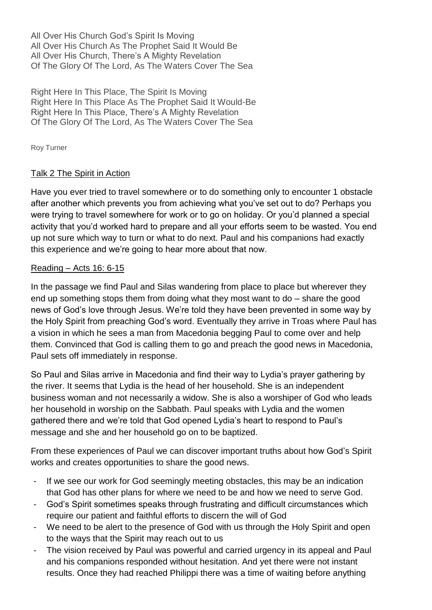All Over His Church God's Spirit Is Moving All Over His Church As The Prophet Said It Would Be All Over His Church, There's A Mighty Revelation Of The Glory Of The Lord, As The Waters Cover The Sea

Right Here In This Place, The Spirit Is Moving Right Here In This Place As The Prophet Said It Would-Be Right Here In This Place, There's A Mighty Revelation Of The Glory Of The Lord, As The Waters Cover The Sea

Roy Turner

# Talk 2 The Spirit in Action

Have you ever tried to travel somewhere or to do something only to encounter 1 obstacle after another which prevents you from achieving what you've set out to do? Perhaps you were trying to travel somewhere for work or to go on holiday. Or you'd planned a special activity that you'd worked hard to prepare and all your efforts seem to be wasted. You end up not sure which way to turn or what to do next. Paul and his companions had exactly this experience and we're going to hear more about that now.

## Reading – Acts 16: 6-15

In the passage we find Paul and Silas wandering from place to place but wherever they end up something stops them from doing what they most want to do – share the good news of God's love through Jesus. We're told they have been prevented in some way by the Holy Spirit from preaching God's word. Eventually they arrive in Troas where Paul has a vision in which he sees a man from Macedonia begging Paul to come over and help them. Convinced that God is calling them to go and preach the good news in Macedonia, Paul sets off immediately in response.

So Paul and Silas arrive in Macedonia and find their way to Lydia's prayer gathering by the river. It seems that Lydia is the head of her household. She is an independent business woman and not necessarily a widow. She is also a worshiper of God who leads her household in worship on the Sabbath. Paul speaks with Lydia and the women gathered there and we're told that God opened Lydia's heart to respond to Paul's message and she and her household go on to be baptized.

From these experiences of Paul we can discover important truths about how God's Spirit works and creates opportunities to share the good news.

- If we see our work for God seemingly meeting obstacles, this may be an indication that God has other plans for where we need to be and how we need to serve God.
- God's Spirit sometimes speaks through frustrating and difficult circumstances which require our patient and faithful efforts to discern the will of God
- We need to be alert to the presence of God with us through the Holy Spirit and open to the ways that the Spirit may reach out to us
- The vision received by Paul was powerful and carried urgency in its appeal and Paul and his companions responded without hesitation. And yet there were not instant results. Once they had reached Philippi there was a time of waiting before anything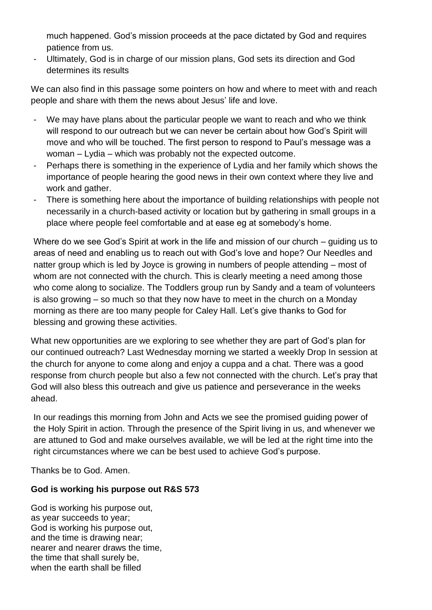much happened. God's mission proceeds at the pace dictated by God and requires patience from us.

Ultimately, God is in charge of our mission plans, God sets its direction and God determines its results

We can also find in this passage some pointers on how and where to meet with and reach people and share with them the news about Jesus' life and love.

- We may have plans about the particular people we want to reach and who we think will respond to our outreach but we can never be certain about how God's Spirit will move and who will be touched. The first person to respond to Paul's message was a woman – Lydia – which was probably not the expected outcome.
- Perhaps there is something in the experience of Lydia and her family which shows the importance of people hearing the good news in their own context where they live and work and gather.
- There is something here about the importance of building relationships with people not necessarily in a church-based activity or location but by gathering in small groups in a place where people feel comfortable and at ease eg at somebody's home.

Where do we see God's Spirit at work in the life and mission of our church – guiding us to areas of need and enabling us to reach out with God's love and hope? Our Needles and natter group which is led by Joyce is growing in numbers of people attending – most of whom are not connected with the church. This is clearly meeting a need among those who come along to socialize. The Toddlers group run by Sandy and a team of volunteers is also growing – so much so that they now have to meet in the church on a Monday morning as there are too many people for Caley Hall. Let's give thanks to God for blessing and growing these activities.

What new opportunities are we exploring to see whether they are part of God's plan for our continued outreach? Last Wednesday morning we started a weekly Drop In session at the church for anyone to come along and enjoy a cuppa and a chat. There was a good response from church people but also a few not connected with the church. Let's pray that God will also bless this outreach and give us patience and perseverance in the weeks ahead.

In our readings this morning from John and Acts we see the promised guiding power of the Holy Spirit in action. Through the presence of the Spirit living in us, and whenever we are attuned to God and make ourselves available, we will be led at the right time into the right circumstances where we can be best used to achieve God's purpose.

Thanks be to God. Amen.

## **God is working his purpose out R&S 573**

God is working his purpose out, as year succeeds to year; God is working his purpose out, and the time is drawing near; nearer and nearer draws the time, the time that shall surely be, when the earth shall be filled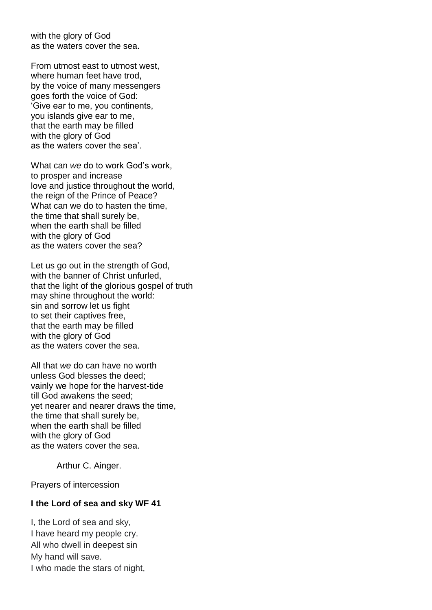with the glory of God as the waters cover the sea.

From utmost east to utmost west, where human feet have trod, by the voice of many messengers goes forth the voice of God: 'Give ear to me, you continents, you islands give ear to me, that the earth may be filled with the glory of God as the waters cover the sea'.

What can *we* do to work God's work, to prosper and increase love and justice throughout the world, the reign of the Prince of Peace? What can we do to hasten the time, the time that shall surely be, when the earth shall be filled with the glory of God as the waters cover the sea?

Let us go out in the strength of God. with the banner of Christ unfurled, that the light of the glorious gospel of truth may shine throughout the world: sin and sorrow let us fight to set their captives free, that the earth may be filled with the glory of God as the waters cover the sea.

All that *we* do can have no worth unless God blesses the deed; vainly we hope for the harvest-tide till God awakens the seed; yet nearer and nearer draws the time, the time that shall surely be, when the earth shall be filled with the glory of God as the waters cover the sea.

Arthur C. Ainger.

Prayers of intercession

#### **I the Lord of sea and sky WF 41**

I, the Lord of sea and sky, I have heard my people cry. All who dwell in deepest sin My hand will save. I who made the stars of night,